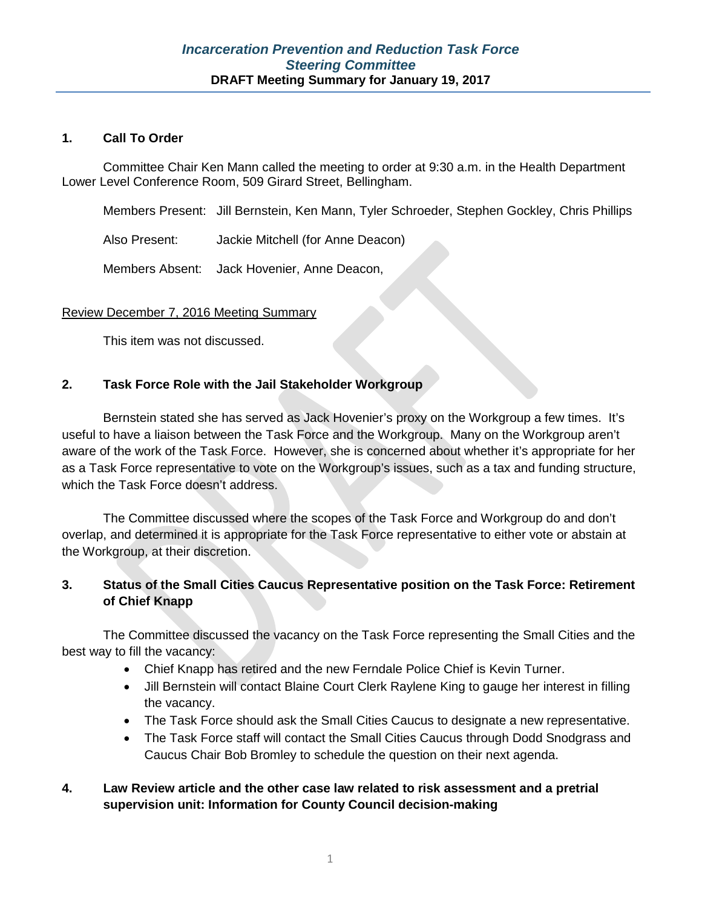#### **1. Call To Order**

Committee Chair Ken Mann called the meeting to order at 9:30 a.m. in the Health Department Lower Level Conference Room, 509 Girard Street, Bellingham.

Members Present: Jill Bernstein, Ken Mann, Tyler Schroeder, Stephen Gockley, Chris Phillips

Also Present: Jackie Mitchell (for Anne Deacon)

Members Absent: Jack Hovenier, Anne Deacon,

#### Review December 7, 2016 Meeting Summary

This item was not discussed.

#### **2. Task Force Role with the Jail Stakeholder Workgroup**

Bernstein stated she has served as Jack Hovenier's proxy on the Workgroup a few times. It's useful to have a liaison between the Task Force and the Workgroup. Many on the Workgroup aren't aware of the work of the Task Force. However, she is concerned about whether it's appropriate for her as a Task Force representative to vote on the Workgroup's issues, such as a tax and funding structure, which the Task Force doesn't address.

The Committee discussed where the scopes of the Task Force and Workgroup do and don't overlap, and determined it is appropriate for the Task Force representative to either vote or abstain at the Workgroup, at their discretion.

### **3. Status of the Small Cities Caucus Representative position on the Task Force: Retirement of Chief Knapp**

The Committee discussed the vacancy on the Task Force representing the Small Cities and the best way to fill the vacancy:

- Chief Knapp has retired and the new Ferndale Police Chief is Kevin Turner.
- Jill Bernstein will contact Blaine Court Clerk Raylene King to gauge her interest in filling the vacancy.
- The Task Force should ask the Small Cities Caucus to designate a new representative.
- The Task Force staff will contact the Small Cities Caucus through Dodd Snodgrass and Caucus Chair Bob Bromley to schedule the question on their next agenda.

### **4. Law Review article and the other case law related to risk assessment and a pretrial supervision unit: Information for County Council decision-making**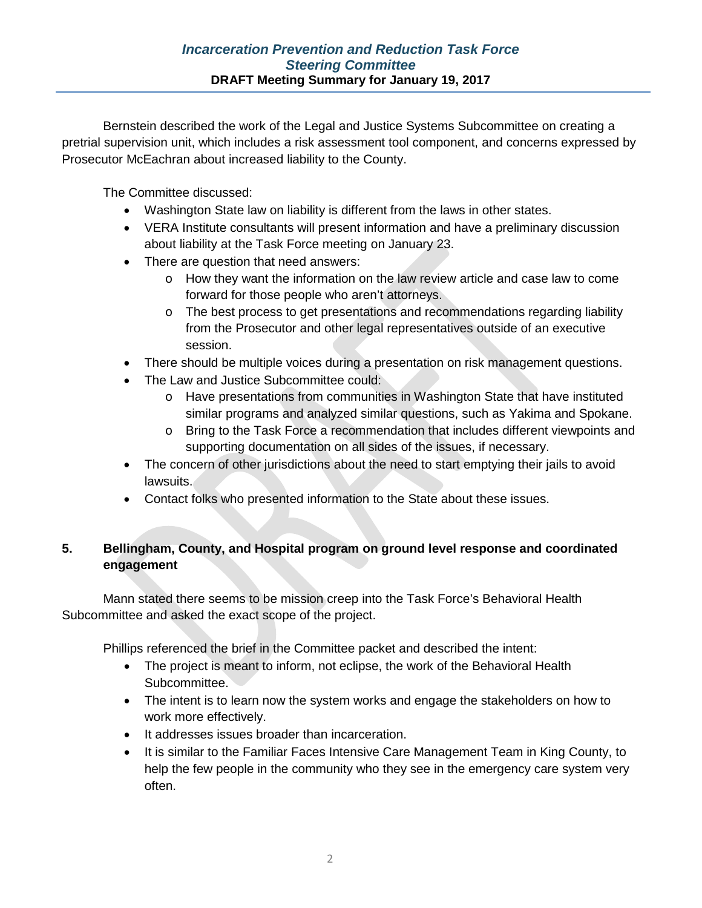Bernstein described the work of the Legal and Justice Systems Subcommittee on creating a pretrial supervision unit, which includes a risk assessment tool component, and concerns expressed by Prosecutor McEachran about increased liability to the County.

The Committee discussed:

- Washington State law on liability is different from the laws in other states.
- VERA Institute consultants will present information and have a preliminary discussion about liability at the Task Force meeting on January 23.
- There are question that need answers:
	- o How they want the information on the law review article and case law to come forward for those people who aren't attorneys.
	- o The best process to get presentations and recommendations regarding liability from the Prosecutor and other legal representatives outside of an executive session.
- There should be multiple voices during a presentation on risk management questions.
- The Law and Justice Subcommittee could:
	- o Have presentations from communities in Washington State that have instituted similar programs and analyzed similar questions, such as Yakima and Spokane.
	- o Bring to the Task Force a recommendation that includes different viewpoints and supporting documentation on all sides of the issues, if necessary.
- The concern of other jurisdictions about the need to start emptying their jails to avoid lawsuits.
- Contact folks who presented information to the State about these issues.

# **5. Bellingham, County, and Hospital program on ground level response and coordinated engagement**

Mann stated there seems to be mission creep into the Task Force's Behavioral Health Subcommittee and asked the exact scope of the project.

Phillips referenced the brief in the Committee packet and described the intent:

- The project is meant to inform, not eclipse, the work of the Behavioral Health Subcommittee.
- The intent is to learn now the system works and engage the stakeholders on how to work more effectively.
- It addresses issues broader than incarceration.
- It is similar to the Familiar Faces Intensive Care Management Team in King County, to help the few people in the community who they see in the emergency care system very often.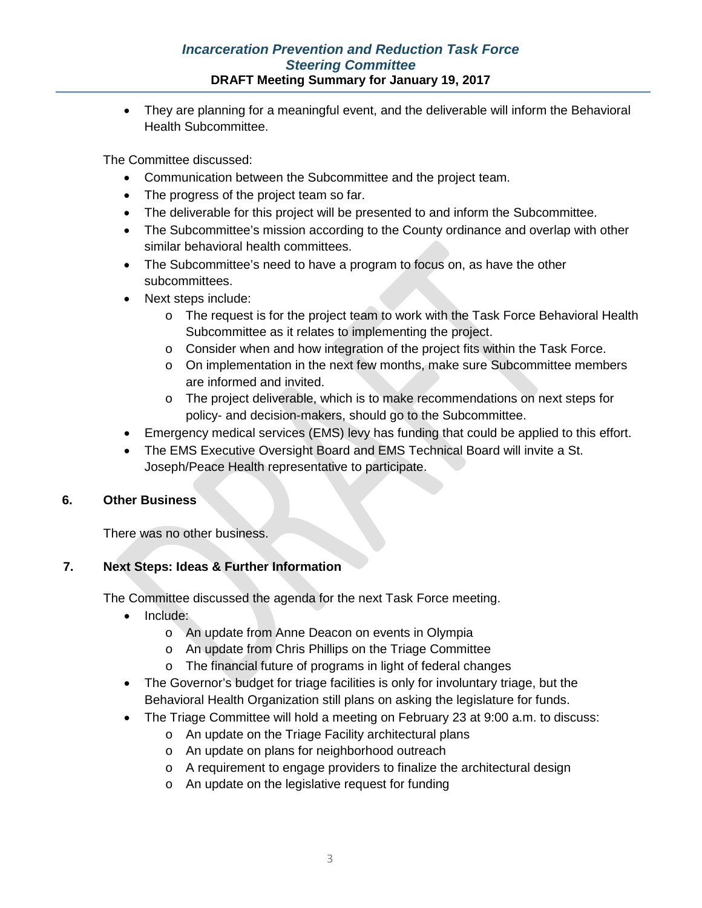### *Incarceration Prevention and Reduction Task Force Steering Committee* **DRAFT Meeting Summary for January 19, 2017**

• They are planning for a meaningful event, and the deliverable will inform the Behavioral Health Subcommittee.

The Committee discussed:

- Communication between the Subcommittee and the project team.
- The progress of the project team so far.
- The deliverable for this project will be presented to and inform the Subcommittee.
- The Subcommittee's mission according to the County ordinance and overlap with other similar behavioral health committees.
- The Subcommittee's need to have a program to focus on, as have the other subcommittees.
- Next steps include:
	- o The request is for the project team to work with the Task Force Behavioral Health Subcommittee as it relates to implementing the project.
	- o Consider when and how integration of the project fits within the Task Force.
	- o On implementation in the next few months, make sure Subcommittee members are informed and invited.
	- o The project deliverable, which is to make recommendations on next steps for policy- and decision-makers, should go to the Subcommittee.
- Emergency medical services (EMS) levy has funding that could be applied to this effort.
- The EMS Executive Oversight Board and EMS Technical Board will invite a St. Joseph/Peace Health representative to participate.

### **6. Other Business**

There was no other business.

### **7. Next Steps: Ideas & Further Information**

The Committee discussed the agenda for the next Task Force meeting.

- Include:
	- o An update from Anne Deacon on events in Olympia
	- o An update from Chris Phillips on the Triage Committee
	- o The financial future of programs in light of federal changes
- The Governor's budget for triage facilities is only for involuntary triage, but the Behavioral Health Organization still plans on asking the legislature for funds.
- The Triage Committee will hold a meeting on February 23 at 9:00 a.m. to discuss:
	- o An update on the Triage Facility architectural plans
	- o An update on plans for neighborhood outreach
	- o A requirement to engage providers to finalize the architectural design
	- o An update on the legislative request for funding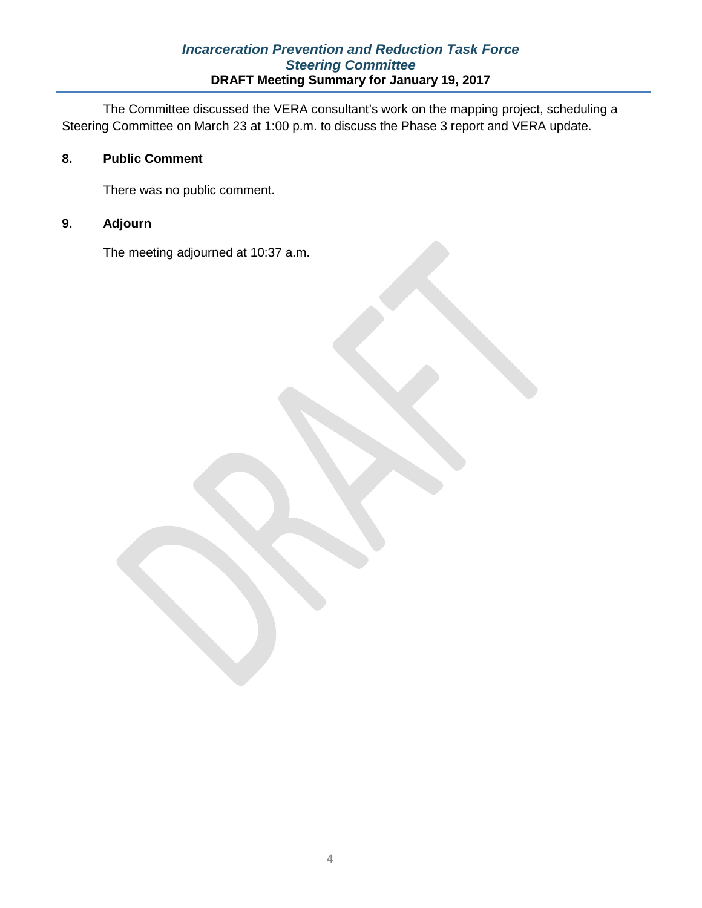#### *Incarceration Prevention and Reduction Task Force Steering Committee* **DRAFT Meeting Summary for January 19, 2017**

The Committee discussed the VERA consultant's work on the mapping project, scheduling a Steering Committee on March 23 at 1:00 p.m. to discuss the Phase 3 report and VERA update.

# **8. Public Comment**

There was no public comment.

# **9. Adjourn**

The meeting adjourned at 10:37 a.m.